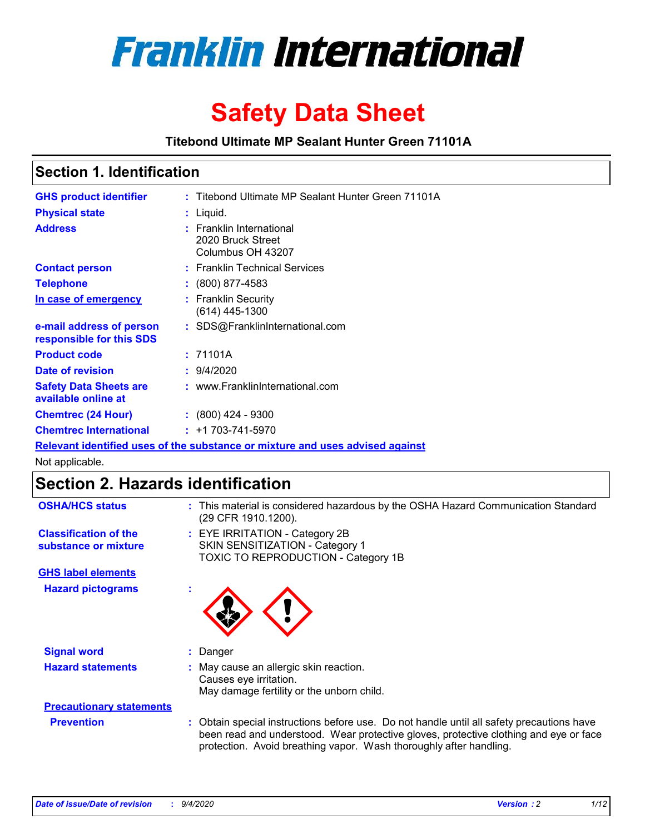

# **Safety Data Sheet**

**Titebond Ultimate MP Sealant Hunter Green 71101A**

### **Section 1. Identification**

| <b>GHS product identifier</b>                        | : Titebond Ultimate MP Sealant Hunter Green 71101A                            |
|------------------------------------------------------|-------------------------------------------------------------------------------|
| <b>Physical state</b>                                | $:$ Liquid.                                                                   |
| <b>Address</b>                                       | : Franklin International<br>2020 Bruck Street<br>Columbus OH 43207            |
| <b>Contact person</b>                                | : Franklin Technical Services                                                 |
| <b>Telephone</b>                                     | $\div$ (800) 877-4583                                                         |
| In case of emergency                                 | : Franklin Security<br>$(614)$ 445-1300                                       |
| e-mail address of person<br>responsible for this SDS | : SDS@FranklinInternational.com                                               |
| <b>Product code</b>                                  | : 71101A                                                                      |
| Date of revision                                     | 9/4/2020                                                                      |
| <b>Safety Data Sheets are</b><br>available online at | : www.FranklinInternational.com                                               |
| <b>Chemtrec (24 Hour)</b>                            | $: (800)$ 424 - 9300                                                          |
| <b>Chemtrec International</b>                        | $: +1703 - 741 - 5970$                                                        |
|                                                      | Relevant identified uses of the substance or mixture and uses advised against |

Not applicable.

## **Section 2. Hazards identification**

| <b>OSHA/HCS status</b>                               | This material is considered hazardous by the OSHA Hazard Communication Standard<br>(29 CFR 1910.1200).                                                                                                                                                   |
|------------------------------------------------------|----------------------------------------------------------------------------------------------------------------------------------------------------------------------------------------------------------------------------------------------------------|
| <b>Classification of the</b><br>substance or mixture | : EYE IRRITATION - Category 2B<br>SKIN SENSITIZATION - Category 1<br>TOXIC TO REPRODUCTION - Category 1B                                                                                                                                                 |
| <b>GHS label elements</b>                            |                                                                                                                                                                                                                                                          |
| <b>Hazard pictograms</b>                             |                                                                                                                                                                                                                                                          |
| <b>Signal word</b>                                   | Danger                                                                                                                                                                                                                                                   |
| <b>Hazard statements</b>                             | May cause an allergic skin reaction.<br>Causes eye irritation.<br>May damage fertility or the unborn child.                                                                                                                                              |
| <b>Precautionary statements</b>                      |                                                                                                                                                                                                                                                          |
| <b>Prevention</b>                                    | : Obtain special instructions before use. Do not handle until all safety precautions have<br>been read and understood. Wear protective gloves, protective clothing and eye or face<br>protection. Avoid breathing vapor. Wash thoroughly after handling. |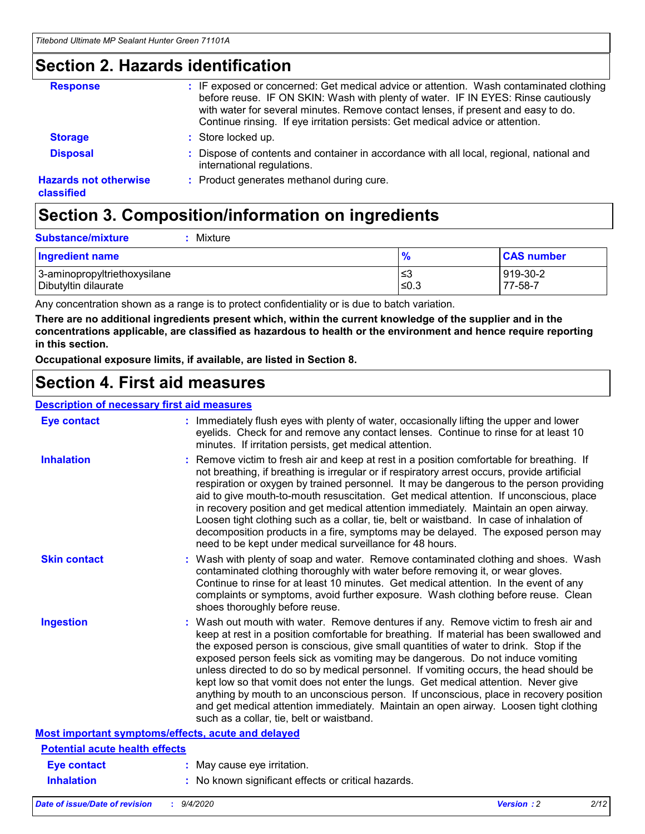### **Section 2. Hazards identification**

| <b>Response</b>                            | : IF exposed or concerned: Get medical advice or attention. Wash contaminated clothing<br>before reuse. IF ON SKIN: Wash with plenty of water. IF IN EYES: Rinse cautiously<br>with water for several minutes. Remove contact lenses, if present and easy to do.<br>Continue rinsing. If eye irritation persists: Get medical advice or attention. |
|--------------------------------------------|----------------------------------------------------------------------------------------------------------------------------------------------------------------------------------------------------------------------------------------------------------------------------------------------------------------------------------------------------|
| <b>Storage</b>                             | : Store locked up.                                                                                                                                                                                                                                                                                                                                 |
| <b>Disposal</b>                            | : Dispose of contents and container in accordance with all local, regional, national and<br>international regulations.                                                                                                                                                                                                                             |
| <b>Hazards not otherwise</b><br>classified | : Product generates methanol during cure.                                                                                                                                                                                                                                                                                                          |

## **Section 3. Composition/information on ingredients**

| <b>Ingredient name</b>       | $\frac{9}{6}$ | <b>CAS number</b> |
|------------------------------|---------------|-------------------|
| 3-aminopropyltriethoxysilane | ≤3            | 919-30-2          |
| Dibutyltin dilaurate         | ∣≤0.3         | 77-58-7           |

Any concentration shown as a range is to protect confidentiality or is due to batch variation.

**There are no additional ingredients present which, within the current knowledge of the supplier and in the concentrations applicable, are classified as hazardous to health or the environment and hence require reporting in this section.**

**Occupational exposure limits, if available, are listed in Section 8.**

### **Section 4. First aid measures**

| <b>Description of necessary first aid measures</b> |                                                                                                                                                                                                                                                                                                                                                                                                                                                                                                                                                                                                                                                                                                                                                                           |
|----------------------------------------------------|---------------------------------------------------------------------------------------------------------------------------------------------------------------------------------------------------------------------------------------------------------------------------------------------------------------------------------------------------------------------------------------------------------------------------------------------------------------------------------------------------------------------------------------------------------------------------------------------------------------------------------------------------------------------------------------------------------------------------------------------------------------------------|
| <b>Eye contact</b>                                 | : Immediately flush eyes with plenty of water, occasionally lifting the upper and lower<br>eyelids. Check for and remove any contact lenses. Continue to rinse for at least 10<br>minutes. If irritation persists, get medical attention.                                                                                                                                                                                                                                                                                                                                                                                                                                                                                                                                 |
| <b>Inhalation</b>                                  | : Remove victim to fresh air and keep at rest in a position comfortable for breathing. If<br>not breathing, if breathing is irregular or if respiratory arrest occurs, provide artificial<br>respiration or oxygen by trained personnel. It may be dangerous to the person providing<br>aid to give mouth-to-mouth resuscitation. Get medical attention. If unconscious, place<br>in recovery position and get medical attention immediately. Maintain an open airway.<br>Loosen tight clothing such as a collar, tie, belt or waistband. In case of inhalation of<br>decomposition products in a fire, symptoms may be delayed. The exposed person may<br>need to be kept under medical surveillance for 48 hours.                                                       |
| <b>Skin contact</b>                                | : Wash with plenty of soap and water. Remove contaminated clothing and shoes. Wash<br>contaminated clothing thoroughly with water before removing it, or wear gloves.<br>Continue to rinse for at least 10 minutes. Get medical attention. In the event of any<br>complaints or symptoms, avoid further exposure. Wash clothing before reuse. Clean<br>shoes thoroughly before reuse.                                                                                                                                                                                                                                                                                                                                                                                     |
| <b>Ingestion</b>                                   | : Wash out mouth with water. Remove dentures if any. Remove victim to fresh air and<br>keep at rest in a position comfortable for breathing. If material has been swallowed and<br>the exposed person is conscious, give small quantities of water to drink. Stop if the<br>exposed person feels sick as vomiting may be dangerous. Do not induce vomiting<br>unless directed to do so by medical personnel. If vomiting occurs, the head should be<br>kept low so that vomit does not enter the lungs. Get medical attention. Never give<br>anything by mouth to an unconscious person. If unconscious, place in recovery position<br>and get medical attention immediately. Maintain an open airway. Loosen tight clothing<br>such as a collar, tie, belt or waistband. |
| Most important symptoms/effects, acute and delayed |                                                                                                                                                                                                                                                                                                                                                                                                                                                                                                                                                                                                                                                                                                                                                                           |
| <b>Potential acute health effects</b>              |                                                                                                                                                                                                                                                                                                                                                                                                                                                                                                                                                                                                                                                                                                                                                                           |
| <b>Eye contact</b>                                 | : May cause eye irritation.                                                                                                                                                                                                                                                                                                                                                                                                                                                                                                                                                                                                                                                                                                                                               |
| <b>Inhalation</b>                                  | : No known significant effects or critical hazards.                                                                                                                                                                                                                                                                                                                                                                                                                                                                                                                                                                                                                                                                                                                       |
|                                                    |                                                                                                                                                                                                                                                                                                                                                                                                                                                                                                                                                                                                                                                                                                                                                                           |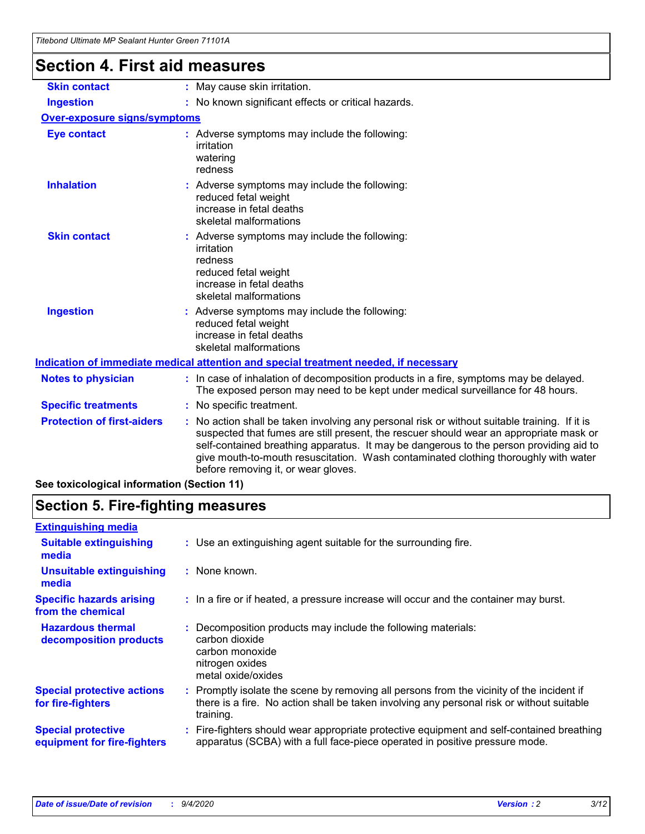## **Section 4. First aid measures**

| <b>Skin contact</b>                 | : May cause skin irritation.                                                                                                                                                                                                                                                                                                                                                                                    |
|-------------------------------------|-----------------------------------------------------------------------------------------------------------------------------------------------------------------------------------------------------------------------------------------------------------------------------------------------------------------------------------------------------------------------------------------------------------------|
| <b>Ingestion</b>                    | : No known significant effects or critical hazards.                                                                                                                                                                                                                                                                                                                                                             |
| <b>Over-exposure signs/symptoms</b> |                                                                                                                                                                                                                                                                                                                                                                                                                 |
| <b>Eye contact</b>                  | : Adverse symptoms may include the following:<br>irritation<br>watering<br>redness                                                                                                                                                                                                                                                                                                                              |
| <b>Inhalation</b>                   | : Adverse symptoms may include the following:<br>reduced fetal weight<br>increase in fetal deaths<br>skeletal malformations                                                                                                                                                                                                                                                                                     |
| <b>Skin contact</b>                 | : Adverse symptoms may include the following:<br>irritation<br>redness<br>reduced fetal weight<br>increase in fetal deaths<br>skeletal malformations                                                                                                                                                                                                                                                            |
| <b>Ingestion</b>                    | : Adverse symptoms may include the following:<br>reduced fetal weight<br>increase in fetal deaths<br>skeletal malformations                                                                                                                                                                                                                                                                                     |
|                                     | <u>Indication of immediate medical attention and special treatment needed, if necessary</u>                                                                                                                                                                                                                                                                                                                     |
| <b>Notes to physician</b>           | : In case of inhalation of decomposition products in a fire, symptoms may be delayed.<br>The exposed person may need to be kept under medical surveillance for 48 hours.                                                                                                                                                                                                                                        |
| <b>Specific treatments</b>          | : No specific treatment.                                                                                                                                                                                                                                                                                                                                                                                        |
| <b>Protection of first-aiders</b>   | : No action shall be taken involving any personal risk or without suitable training. If it is<br>suspected that fumes are still present, the rescuer should wear an appropriate mask or<br>self-contained breathing apparatus. It may be dangerous to the person providing aid to<br>give mouth-to-mouth resuscitation. Wash contaminated clothing thoroughly with water<br>before removing it, or wear gloves. |
|                                     |                                                                                                                                                                                                                                                                                                                                                                                                                 |

**See toxicological information (Section 11)**

## **Section 5. Fire-fighting measures**

| <b>Extinguishing media</b>                               |                                                                                                                                                                                                     |
|----------------------------------------------------------|-----------------------------------------------------------------------------------------------------------------------------------------------------------------------------------------------------|
| <b>Suitable extinguishing</b><br>media                   | : Use an extinguishing agent suitable for the surrounding fire.                                                                                                                                     |
| <b>Unsuitable extinguishing</b><br>media                 | $:$ None known.                                                                                                                                                                                     |
| <b>Specific hazards arising</b><br>from the chemical     | : In a fire or if heated, a pressure increase will occur and the container may burst.                                                                                                               |
| <b>Hazardous thermal</b><br>decomposition products       | Decomposition products may include the following materials:<br>carbon dioxide<br>carbon monoxide<br>nitrogen oxides<br>metal oxide/oxides                                                           |
| <b>Special protective actions</b><br>for fire-fighters   | : Promptly isolate the scene by removing all persons from the vicinity of the incident if<br>there is a fire. No action shall be taken involving any personal risk or without suitable<br>training. |
| <b>Special protective</b><br>equipment for fire-fighters | Fire-fighters should wear appropriate protective equipment and self-contained breathing<br>apparatus (SCBA) with a full face-piece operated in positive pressure mode.                              |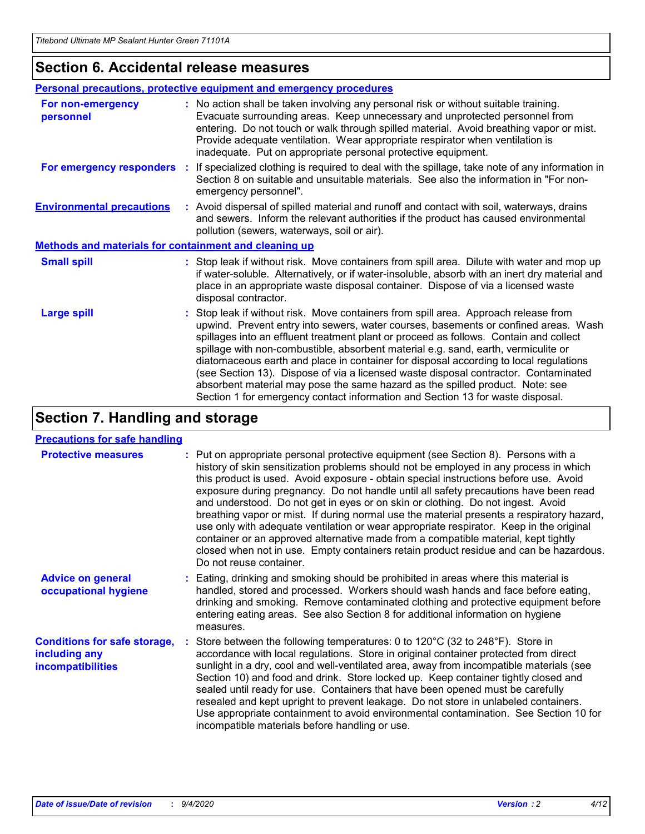### **Section 6. Accidental release measures**

|                                                              | <b>Personal precautions, protective equipment and emergency procedures</b>                                                                                                                                                                                                                                                                                                                                                                                                                                                                                                                                                                                                                                   |
|--------------------------------------------------------------|--------------------------------------------------------------------------------------------------------------------------------------------------------------------------------------------------------------------------------------------------------------------------------------------------------------------------------------------------------------------------------------------------------------------------------------------------------------------------------------------------------------------------------------------------------------------------------------------------------------------------------------------------------------------------------------------------------------|
| For non-emergency<br>personnel                               | : No action shall be taken involving any personal risk or without suitable training.<br>Evacuate surrounding areas. Keep unnecessary and unprotected personnel from<br>entering. Do not touch or walk through spilled material. Avoid breathing vapor or mist.<br>Provide adequate ventilation. Wear appropriate respirator when ventilation is<br>inadequate. Put on appropriate personal protective equipment.                                                                                                                                                                                                                                                                                             |
| For emergency responders                                     | : If specialized clothing is required to deal with the spillage, take note of any information in<br>Section 8 on suitable and unsuitable materials. See also the information in "For non-<br>emergency personnel".                                                                                                                                                                                                                                                                                                                                                                                                                                                                                           |
| <b>Environmental precautions</b>                             | : Avoid dispersal of spilled material and runoff and contact with soil, waterways, drains<br>and sewers. Inform the relevant authorities if the product has caused environmental<br>pollution (sewers, waterways, soil or air).                                                                                                                                                                                                                                                                                                                                                                                                                                                                              |
| <b>Methods and materials for containment and cleaning up</b> |                                                                                                                                                                                                                                                                                                                                                                                                                                                                                                                                                                                                                                                                                                              |
| <b>Small spill</b>                                           | : Stop leak if without risk. Move containers from spill area. Dilute with water and mop up<br>if water-soluble. Alternatively, or if water-insoluble, absorb with an inert dry material and<br>place in an appropriate waste disposal container. Dispose of via a licensed waste<br>disposal contractor.                                                                                                                                                                                                                                                                                                                                                                                                     |
| <b>Large spill</b>                                           | : Stop leak if without risk. Move containers from spill area. Approach release from<br>upwind. Prevent entry into sewers, water courses, basements or confined areas. Wash<br>spillages into an effluent treatment plant or proceed as follows. Contain and collect<br>spillage with non-combustible, absorbent material e.g. sand, earth, vermiculite or<br>diatomaceous earth and place in container for disposal according to local regulations<br>(see Section 13). Dispose of via a licensed waste disposal contractor. Contaminated<br>absorbent material may pose the same hazard as the spilled product. Note: see<br>Section 1 for emergency contact information and Section 13 for waste disposal. |

## **Section 7. Handling and storage**

### **Precautions for safe handling**

| <b>Protective measures</b>                                                       | : Put on appropriate personal protective equipment (see Section 8). Persons with a<br>history of skin sensitization problems should not be employed in any process in which<br>this product is used. Avoid exposure - obtain special instructions before use. Avoid<br>exposure during pregnancy. Do not handle until all safety precautions have been read<br>and understood. Do not get in eyes or on skin or clothing. Do not ingest. Avoid<br>breathing vapor or mist. If during normal use the material presents a respiratory hazard,<br>use only with adequate ventilation or wear appropriate respirator. Keep in the original<br>container or an approved alternative made from a compatible material, kept tightly<br>closed when not in use. Empty containers retain product residue and can be hazardous.<br>Do not reuse container. |
|----------------------------------------------------------------------------------|--------------------------------------------------------------------------------------------------------------------------------------------------------------------------------------------------------------------------------------------------------------------------------------------------------------------------------------------------------------------------------------------------------------------------------------------------------------------------------------------------------------------------------------------------------------------------------------------------------------------------------------------------------------------------------------------------------------------------------------------------------------------------------------------------------------------------------------------------|
| <b>Advice on general</b><br>occupational hygiene                                 | : Eating, drinking and smoking should be prohibited in areas where this material is<br>handled, stored and processed. Workers should wash hands and face before eating,<br>drinking and smoking. Remove contaminated clothing and protective equipment before<br>entering eating areas. See also Section 8 for additional information on hygiene<br>measures.                                                                                                                                                                                                                                                                                                                                                                                                                                                                                    |
| <b>Conditions for safe storage,</b><br>including any<br><i>incompatibilities</i> | Store between the following temperatures: 0 to 120°C (32 to 248°F). Store in<br>accordance with local regulations. Store in original container protected from direct<br>sunlight in a dry, cool and well-ventilated area, away from incompatible materials (see<br>Section 10) and food and drink. Store locked up. Keep container tightly closed and<br>sealed until ready for use. Containers that have been opened must be carefully<br>resealed and kept upright to prevent leakage. Do not store in unlabeled containers.<br>Use appropriate containment to avoid environmental contamination. See Section 10 for<br>incompatible materials before handling or use.                                                                                                                                                                         |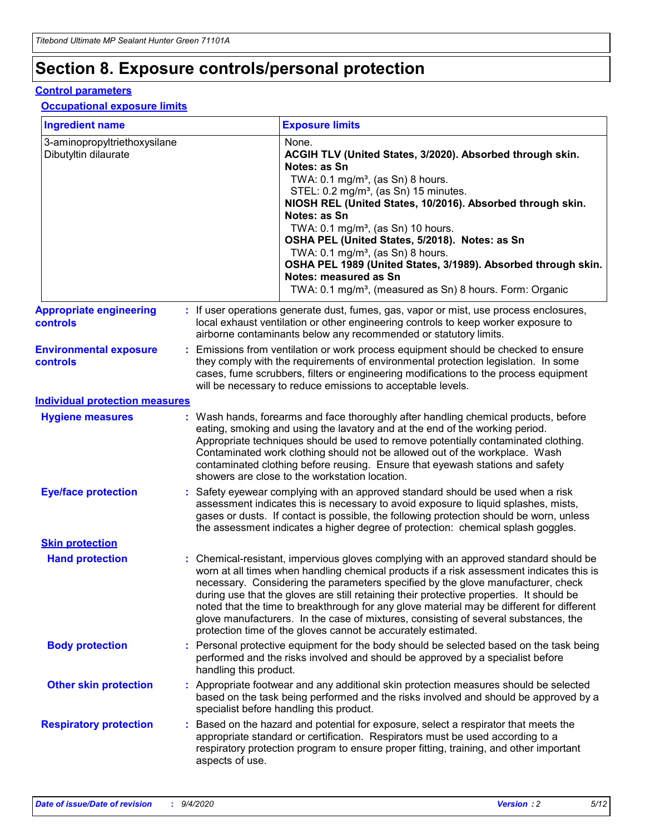## **Section 8. Exposure controls/personal protection**

### **Control parameters**

### **Occupational exposure limits**

| <b>Ingredient name</b>                               |    |                        | <b>Exposure limits</b>                                                                                                                                                                                                                                                                                                                                                                                                                                                                                                                                                                                                 |
|------------------------------------------------------|----|------------------------|------------------------------------------------------------------------------------------------------------------------------------------------------------------------------------------------------------------------------------------------------------------------------------------------------------------------------------------------------------------------------------------------------------------------------------------------------------------------------------------------------------------------------------------------------------------------------------------------------------------------|
| 3-aminopropyltriethoxysilane<br>Dibutyltin dilaurate |    |                        | None.<br>ACGIH TLV (United States, 3/2020). Absorbed through skin.<br>Notes: as Sn<br>TWA: 0.1 mg/m <sup>3</sup> , (as Sn) 8 hours.<br>STEL: 0.2 mg/m <sup>3</sup> , (as Sn) 15 minutes.<br>NIOSH REL (United States, 10/2016). Absorbed through skin.<br>Notes: as Sn<br>TWA: 0.1 mg/m <sup>3</sup> , (as Sn) 10 hours.<br>OSHA PEL (United States, 5/2018). Notes: as Sn<br>TWA: $0.1 \text{ mg/m}^3$ , (as Sn) 8 hours.<br>OSHA PEL 1989 (United States, 3/1989). Absorbed through skin.<br>Notes: measured as Sn<br>TWA: 0.1 mg/m <sup>3</sup> , (measured as Sn) 8 hours. Form: Organic                           |
| <b>Appropriate engineering</b><br>controls           |    |                        | : If user operations generate dust, fumes, gas, vapor or mist, use process enclosures,<br>local exhaust ventilation or other engineering controls to keep worker exposure to<br>airborne contaminants below any recommended or statutory limits.                                                                                                                                                                                                                                                                                                                                                                       |
| <b>Environmental exposure</b><br><b>controls</b>     |    |                        | Emissions from ventilation or work process equipment should be checked to ensure<br>they comply with the requirements of environmental protection legislation. In some<br>cases, fume scrubbers, filters or engineering modifications to the process equipment<br>will be necessary to reduce emissions to acceptable levels.                                                                                                                                                                                                                                                                                          |
| <b>Individual protection measures</b>                |    |                        |                                                                                                                                                                                                                                                                                                                                                                                                                                                                                                                                                                                                                        |
| <b>Hygiene measures</b>                              |    |                        | : Wash hands, forearms and face thoroughly after handling chemical products, before<br>eating, smoking and using the lavatory and at the end of the working period.<br>Appropriate techniques should be used to remove potentially contaminated clothing.<br>Contaminated work clothing should not be allowed out of the workplace. Wash<br>contaminated clothing before reusing. Ensure that eyewash stations and safety<br>showers are close to the workstation location.                                                                                                                                            |
| <b>Eye/face protection</b>                           |    |                        | : Safety eyewear complying with an approved standard should be used when a risk<br>assessment indicates this is necessary to avoid exposure to liquid splashes, mists,<br>gases or dusts. If contact is possible, the following protection should be worn, unless<br>the assessment indicates a higher degree of protection: chemical splash goggles.                                                                                                                                                                                                                                                                  |
| <b>Skin protection</b>                               |    |                        |                                                                                                                                                                                                                                                                                                                                                                                                                                                                                                                                                                                                                        |
| <b>Hand protection</b>                               |    |                        | : Chemical-resistant, impervious gloves complying with an approved standard should be<br>worn at all times when handling chemical products if a risk assessment indicates this is<br>necessary. Considering the parameters specified by the glove manufacturer, check<br>during use that the gloves are still retaining their protective properties. It should be<br>noted that the time to breakthrough for any glove material may be different for different<br>glove manufacturers. In the case of mixtures, consisting of several substances, the<br>protection time of the gloves cannot be accurately estimated. |
| <b>Body protection</b>                               |    | handling this product. | Personal protective equipment for the body should be selected based on the task being<br>performed and the risks involved and should be approved by a specialist before                                                                                                                                                                                                                                                                                                                                                                                                                                                |
| <b>Other skin protection</b>                         |    |                        | : Appropriate footwear and any additional skin protection measures should be selected<br>based on the task being performed and the risks involved and should be approved by a<br>specialist before handling this product.                                                                                                                                                                                                                                                                                                                                                                                              |
| <b>Respiratory protection</b>                        | ÷. | aspects of use.        | Based on the hazard and potential for exposure, select a respirator that meets the<br>appropriate standard or certification. Respirators must be used according to a<br>respiratory protection program to ensure proper fitting, training, and other important                                                                                                                                                                                                                                                                                                                                                         |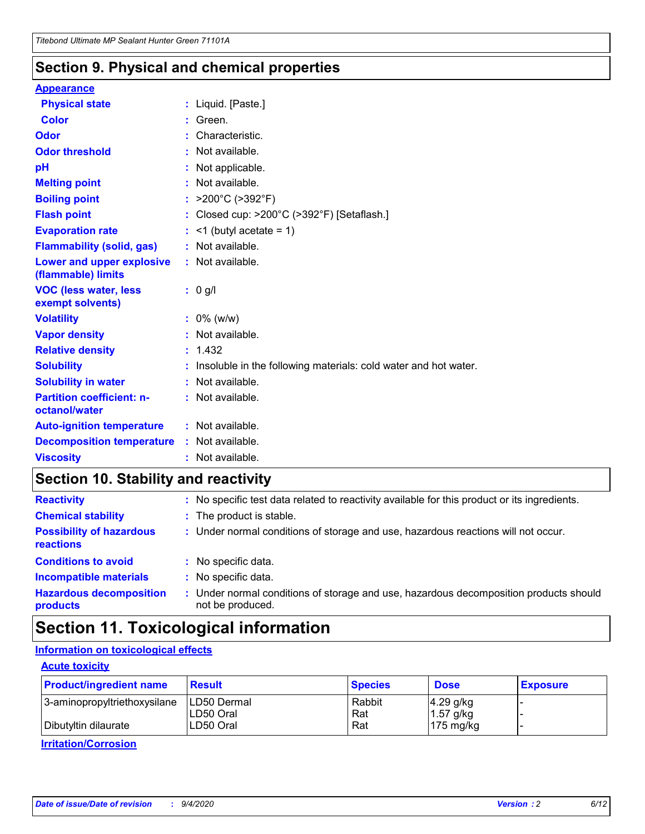### **Section 9. Physical and chemical properties**

### **Appearance**

| <b>Physical state</b>                             | : Liquid. [Paste.]                                              |
|---------------------------------------------------|-----------------------------------------------------------------|
| Color                                             | Green.                                                          |
| Odor                                              | : Characteristic.                                               |
| <b>Odor threshold</b>                             | $:$ Not available.                                              |
| рH                                                | : Not applicable.                                               |
| <b>Melting point</b>                              | : Not available.                                                |
| <b>Boiling point</b>                              | : $>200^{\circ}$ C ( $>392^{\circ}$ F)                          |
| <b>Flash point</b>                                | : Closed cup: >200°C (>392°F) [Setaflash.]                      |
| <b>Evaporation rate</b>                           | $:$ <1 (butyl acetate = 1)                                      |
| <b>Flammability (solid, gas)</b>                  | : Not available.                                                |
| Lower and upper explosive<br>(flammable) limits   | : Not available.                                                |
| <b>VOC (less water, less</b><br>exempt solvents)  | : 0 g/l                                                         |
| <b>Volatility</b>                                 | $: 0\%$ (w/w)                                                   |
| <b>Vapor density</b>                              |                                                                 |
|                                                   | : Not available.                                                |
| <b>Relative density</b>                           | : 1.432                                                         |
| <b>Solubility</b>                                 | Insoluble in the following materials: cold water and hot water. |
| <b>Solubility in water</b>                        | : Not available.                                                |
| <b>Partition coefficient: n-</b><br>octanol/water | : Not available.                                                |
| <b>Auto-ignition temperature</b>                  | : Not available.                                                |
| <b>Decomposition temperature</b>                  | : Not available.                                                |

## **Section 10. Stability and reactivity**

| <b>Reactivity</b>                            | : No specific test data related to reactivity available for this product or its ingredients.            |
|----------------------------------------------|---------------------------------------------------------------------------------------------------------|
| <b>Chemical stability</b>                    | : The product is stable.                                                                                |
| <b>Possibility of hazardous</b><br>reactions | : Under normal conditions of storage and use, hazardous reactions will not occur.                       |
| <b>Conditions to avoid</b>                   | : No specific data.                                                                                     |
| <b>Incompatible materials</b>                | : No specific data.                                                                                     |
| <b>Hazardous decomposition</b><br>products   | Under normal conditions of storage and use, hazardous decomposition products should<br>not be produced. |

## **Section 11. Toxicological information**

### **Information on toxicological effects**

### **Acute toxicity**

| <b>Product/ingredient name</b> | <b>Result</b>           | <b>Species</b> | <b>Dose</b>                | <b>Exposure</b> |
|--------------------------------|-------------------------|----------------|----------------------------|-----------------|
| 3-aminopropyltriethoxysilane   | <b>ILD50 Dermal</b>     | Rabbit         | 4.29 g/kg                  |                 |
| Dibutyltin dilaurate           | ILD50 Oral<br>LD50 Oral | Rat<br>Rat     | $1.57$ g/kg<br>175 $mg/kg$ |                 |
|                                |                         |                |                            |                 |

**Irritation/Corrosion**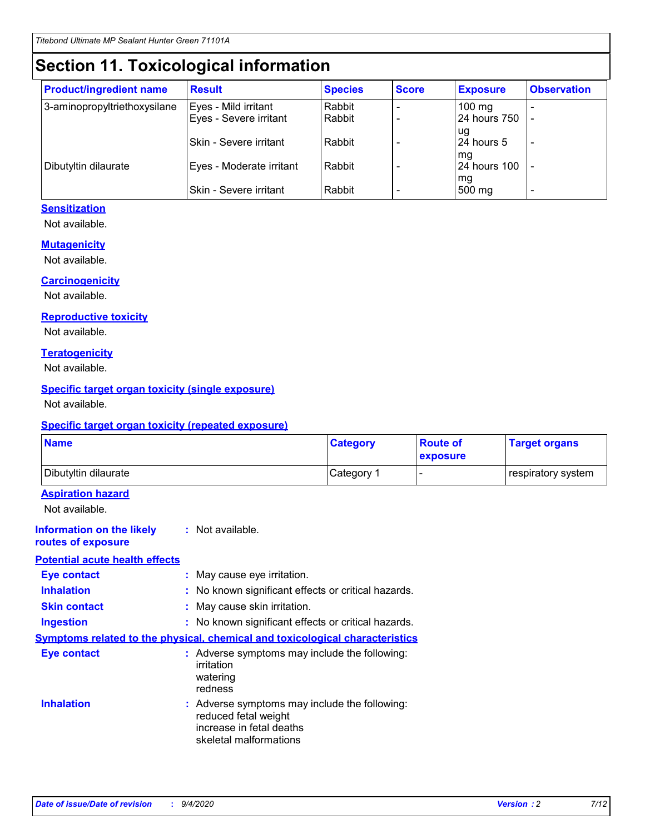## **Section 11. Toxicological information**

| <b>Product/ingredient name</b> | <b>Result</b>                 | <b>Species</b> | <b>Score</b> | <b>Exposure</b>    | <b>Observation</b>       |
|--------------------------------|-------------------------------|----------------|--------------|--------------------|--------------------------|
| 3-aminopropyltriethoxysilane   | Eyes - Mild irritant          | Rabbit         |              | $100 \text{ mg}$   |                          |
|                                | Eyes - Severe irritant        | Rabbit         |              | 24 hours 750       |                          |
|                                |                               |                |              | ug                 |                          |
|                                | <b>Skin - Severe irritant</b> | Rabbit         |              | 24 hours 5         | $\overline{\phantom{0}}$ |
| Dibutyltin dilaurate           | Eyes - Moderate irritant      | Rabbit         |              | mg<br>24 hours 100 |                          |
|                                |                               |                |              | mg                 |                          |
|                                | Skin - Severe irritant        | Rabbit         |              | 500 mg             | -                        |

### **Sensitization**

Not available.

### **Mutagenicity**

Not available.

### **Carcinogenicity**

Not available.

#### **Reproductive toxicity**

Not available.

### **Teratogenicity**

Not available.

### **Specific target organ toxicity (single exposure)**

Not available.

### **Specific target organ toxicity (repeated exposure)**

| <b>Name</b>                                                                  |                                                                            | <b>Category</b>                                     | <b>Route of</b><br>exposure | <b>Target organs</b> |  |
|------------------------------------------------------------------------------|----------------------------------------------------------------------------|-----------------------------------------------------|-----------------------------|----------------------|--|
| Dibutyltin dilaurate                                                         |                                                                            | Category 1                                          | -                           | respiratory system   |  |
| <b>Aspiration hazard</b><br>Not available.                                   |                                                                            |                                                     |                             |                      |  |
| <b>Information on the likely</b><br>routes of exposure                       | : Not available.                                                           |                                                     |                             |                      |  |
| <b>Potential acute health effects</b>                                        |                                                                            |                                                     |                             |                      |  |
| <b>Eye contact</b>                                                           | : May cause eye irritation.                                                |                                                     |                             |                      |  |
| <b>Inhalation</b>                                                            |                                                                            | : No known significant effects or critical hazards. |                             |                      |  |
| <b>Skin contact</b>                                                          |                                                                            | : May cause skin irritation.                        |                             |                      |  |
| <b>Ingestion</b>                                                             |                                                                            | : No known significant effects or critical hazards. |                             |                      |  |
| Symptoms related to the physical, chemical and toxicological characteristics |                                                                            |                                                     |                             |                      |  |
| <b>Eye contact</b>                                                           | irritation<br>watering<br>redness                                          | : Adverse symptoms may include the following:       |                             |                      |  |
| <b>Inhalation</b>                                                            | reduced fetal weight<br>increase in fetal deaths<br>skeletal malformations | : Adverse symptoms may include the following:       |                             |                      |  |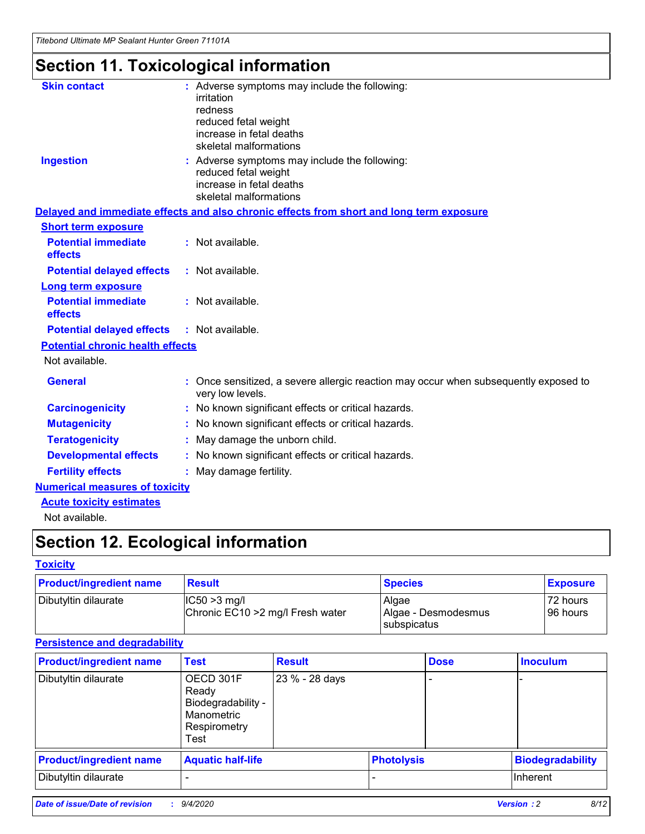*Titebond Ultimate MP Sealant Hunter Green 71101A*

## **Section 11. Toxicological information**

| <b>Skin contact</b>                     | : Adverse symptoms may include the following:<br>irritation<br>redness<br>reduced fetal weight<br>increase in fetal deaths<br>skeletal malformations |
|-----------------------------------------|------------------------------------------------------------------------------------------------------------------------------------------------------|
| <b>Ingestion</b>                        | : Adverse symptoms may include the following:<br>reduced fetal weight<br>increase in fetal deaths<br>skeletal malformations                          |
|                                         | Delayed and immediate effects and also chronic effects from short and long term exposure                                                             |
| <b>Short term exposure</b>              |                                                                                                                                                      |
| <b>Potential immediate</b><br>effects   | : Not available.                                                                                                                                     |
| <b>Potential delayed effects</b>        | : Not available.                                                                                                                                     |
| <b>Long term exposure</b>               |                                                                                                                                                      |
| <b>Potential immediate</b><br>effects   | : Not available.                                                                                                                                     |
| <b>Potential delayed effects</b>        | : Not available.                                                                                                                                     |
| <b>Potential chronic health effects</b> |                                                                                                                                                      |
| Not available.                          |                                                                                                                                                      |
| <b>General</b>                          | Once sensitized, a severe allergic reaction may occur when subsequently exposed to<br>very low levels.                                               |
| <b>Carcinogenicity</b>                  | No known significant effects or critical hazards.                                                                                                    |
| <b>Mutagenicity</b>                     | : No known significant effects or critical hazards.                                                                                                  |
| <b>Teratogenicity</b>                   | May damage the unborn child.                                                                                                                         |
| <b>Developmental effects</b>            | : No known significant effects or critical hazards.                                                                                                  |
| <b>Fertility effects</b>                | : May damage fertility.                                                                                                                              |
| <b>Numerical measures of toxicity</b>   |                                                                                                                                                      |
| <b>Acute toxicity estimates</b>         |                                                                                                                                                      |
| Not ovoilable                           |                                                                                                                                                      |

Not available.

## **Section 12. Ecological information**

### **Toxicity**

| <b>Product/ingredient name</b> | <b>Result</b>                                       | <b>Species</b>               | <b>Exposure</b>       |
|--------------------------------|-----------------------------------------------------|------------------------------|-----------------------|
| Dibutyltin dilaurate           | $ CC50>3$ mg/l<br>Chronic EC10 > 2 mg/l Fresh water | Algae<br>Algae - Desmodesmus | 72 hours<br>196 hours |
|                                |                                                     | <b>I</b> subspicatus         |                       |

### **Persistence and degradability**

| <b>Product/ingredient name</b> | <b>Test</b>                                                                    | <b>Result</b>  |                   | <b>Dose</b> | <b>Inoculum</b>         |
|--------------------------------|--------------------------------------------------------------------------------|----------------|-------------------|-------------|-------------------------|
| Dibutyltin dilaurate           | OECD 301F<br>Ready<br>Biodegradability -<br>Manometric<br>Respirometry<br>Test | 23 % - 28 days |                   |             |                         |
| <b>Product/ingredient name</b> | <b>Aquatic half-life</b>                                                       |                | <b>Photolysis</b> |             | <b>Biodegradability</b> |
| Dibutyltin dilaurate           |                                                                                |                |                   |             | <b>Inherent</b>         |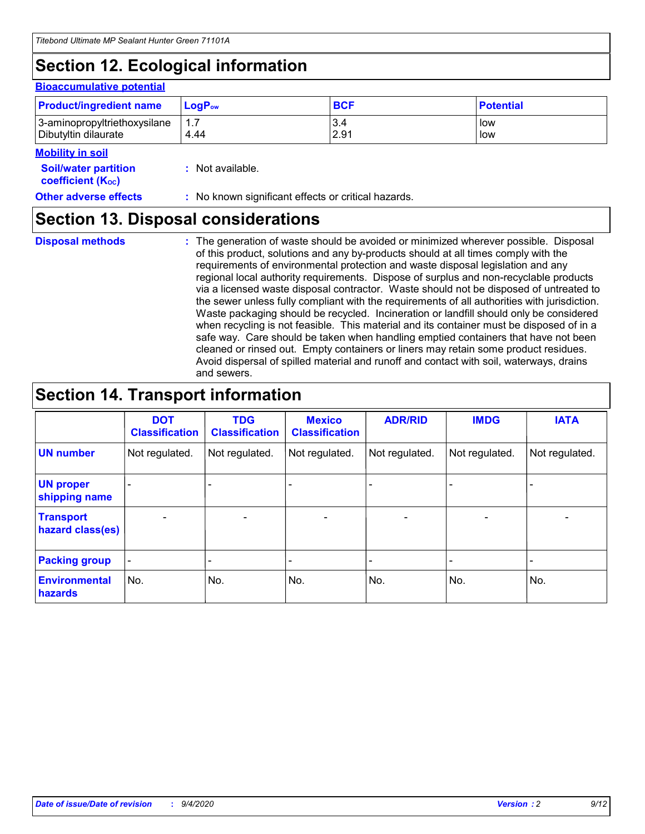## **Section 12. Ecological information**

### **Bioaccumulative potential**

| <b>Product/ingredient name</b> | <b>LogP</b> <sub>ow</sub> | <b>BCF</b> | <b>Potential</b> |
|--------------------------------|---------------------------|------------|------------------|
| 3-aminopropyltriethoxysilane   | 4.44                      | 3.4        | low              |
| Dibutyltin dilaurate           |                           | 2.91       | low              |

#### **Mobility in soil**

| <b>Soil/water partition</b> | : Not available. |
|-----------------------------|------------------|
| <b>coefficient (Koc)</b>    |                  |

**Other adverse effects** : No known significant effects or critical hazards.

### **Section 13. Disposal considerations**

**Disposal methods :**

The generation of waste should be avoided or minimized wherever possible. Disposal of this product, solutions and any by-products should at all times comply with the requirements of environmental protection and waste disposal legislation and any regional local authority requirements. Dispose of surplus and non-recyclable products via a licensed waste disposal contractor. Waste should not be disposed of untreated to the sewer unless fully compliant with the requirements of all authorities with jurisdiction. Waste packaging should be recycled. Incineration or landfill should only be considered when recycling is not feasible. This material and its container must be disposed of in a safe way. Care should be taken when handling emptied containers that have not been cleaned or rinsed out. Empty containers or liners may retain some product residues. Avoid dispersal of spilled material and runoff and contact with soil, waterways, drains and sewers.

## **Section 14. Transport information**

|                                      | <b>DOT</b><br><b>Classification</b> | <b>TDG</b><br><b>Classification</b> | <b>Mexico</b><br><b>Classification</b> | <b>ADR/RID</b>           | <b>IMDG</b>              | <b>IATA</b>    |
|--------------------------------------|-------------------------------------|-------------------------------------|----------------------------------------|--------------------------|--------------------------|----------------|
| <b>UN number</b>                     | Not regulated.                      | Not regulated.                      | Not regulated.                         | Not regulated.           | Not regulated.           | Not regulated. |
| <b>UN proper</b><br>shipping name    |                                     |                                     |                                        |                          |                          |                |
| <b>Transport</b><br>hazard class(es) |                                     | $\overline{\phantom{0}}$            | $\qquad \qquad \blacksquare$           | $\overline{\phantom{0}}$ | $\overline{\phantom{0}}$ |                |
| <b>Packing group</b>                 |                                     |                                     |                                        |                          |                          |                |
| <b>Environmental</b><br>hazards      | No.                                 | No.                                 | No.                                    | No.                      | No.                      | No.            |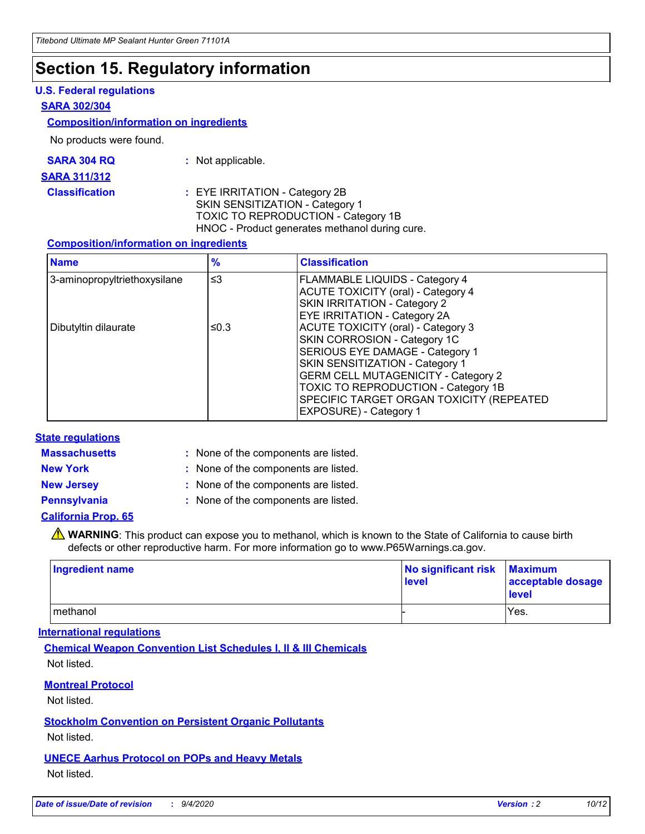## **Section 15. Regulatory information**

### **U.S. Federal regulations**

#### **SARA 302/304**

#### **Composition/information on ingredients**

No products were found.

| SARA 304 RQ | Not applicable. |
|-------------|-----------------|
|-------------|-----------------|

#### **SARA 311/312**

**Classification :** EYE IRRITATION - Category 2B SKIN SENSITIZATION - Category 1 TOXIC TO REPRODUCTION - Category 1B HNOC - Product generates methanol during cure.

### **Composition/information on ingredients**

| <b>Name</b>                  | $\frac{9}{6}$ | <b>Classification</b>                                                                                                                                                                                                                                                                                      |
|------------------------------|---------------|------------------------------------------------------------------------------------------------------------------------------------------------------------------------------------------------------------------------------------------------------------------------------------------------------------|
| 3-aminopropyltriethoxysilane | $\leq$ 3      | <b>FLAMMABLE LIQUIDS - Category 4</b><br><b>ACUTE TOXICITY (oral) - Category 4</b><br>SKIN IRRITATION - Category 2<br>EYE IRRITATION - Category 2A                                                                                                                                                         |
| Dibutyltin dilaurate         | ≤0.3          | <b>ACUTE TOXICITY (oral) - Category 3</b><br>SKIN CORROSION - Category 1C<br>SERIOUS EYE DAMAGE - Category 1<br>SKIN SENSITIZATION - Category 1<br><b>GERM CELL MUTAGENICITY - Category 2</b><br>TOXIC TO REPRODUCTION - Category 1B<br>SPECIFIC TARGET ORGAN TOXICITY (REPEATED<br>EXPOSURE) - Category 1 |

### **State regulations**

**Massachusetts :**

: None of the components are listed.

**New York :** None of the components are listed.

**New Jersey :** None of the components are listed.

**Pennsylvania :** None of the components are listed.

### **California Prop. 65**

WARNING: This product can expose you to methanol, which is known to the State of California to cause birth defects or other reproductive harm. For more information go to www.P65Warnings.ca.gov.

| Ingredient name | No significant risk<br>level | <b>Maximum</b><br>acceptable dosage<br><b>level</b> |
|-----------------|------------------------------|-----------------------------------------------------|
| l methanol      |                              | Yes.                                                |

### **International regulations**

**Chemical Weapon Convention List Schedules I, II & III Chemicals** Not listed.

### **Montreal Protocol**

Not listed.

**Stockholm Convention on Persistent Organic Pollutants**

Not listed.

### **UNECE Aarhus Protocol on POPs and Heavy Metals** Not listed.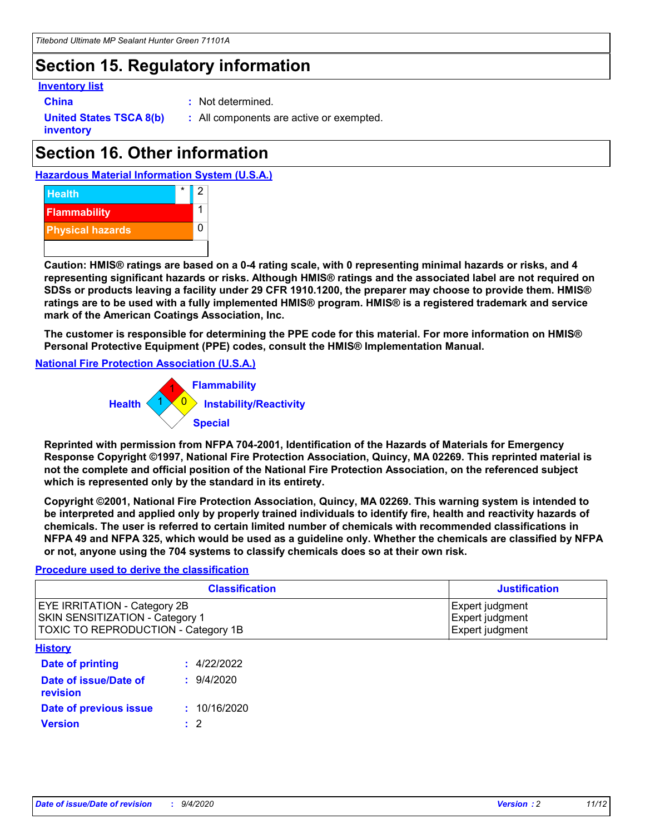## **Section 15. Regulatory information**

### **Inventory list**

- 
- **China :** Not determined.

**United States TSCA 8(b) inventory**

**:** All components are active or exempted.

## **Section 16. Other information**

**Hazardous Material Information System (U.S.A.)**



**Caution: HMIS® ratings are based on a 0-4 rating scale, with 0 representing minimal hazards or risks, and 4 representing significant hazards or risks. Although HMIS® ratings and the associated label are not required on SDSs or products leaving a facility under 29 CFR 1910.1200, the preparer may choose to provide them. HMIS® ratings are to be used with a fully implemented HMIS® program. HMIS® is a registered trademark and service mark of the American Coatings Association, Inc.**

**The customer is responsible for determining the PPE code for this material. For more information on HMIS® Personal Protective Equipment (PPE) codes, consult the HMIS® Implementation Manual.**

**National Fire Protection Association (U.S.A.)**



**Reprinted with permission from NFPA 704-2001, Identification of the Hazards of Materials for Emergency Response Copyright ©1997, National Fire Protection Association, Quincy, MA 02269. This reprinted material is not the complete and official position of the National Fire Protection Association, on the referenced subject which is represented only by the standard in its entirety.**

**Copyright ©2001, National Fire Protection Association, Quincy, MA 02269. This warning system is intended to be interpreted and applied only by properly trained individuals to identify fire, health and reactivity hazards of chemicals. The user is referred to certain limited number of chemicals with recommended classifications in NFPA 49 and NFPA 325, which would be used as a guideline only. Whether the chemicals are classified by NFPA or not, anyone using the 704 systems to classify chemicals does so at their own risk.**

### **Procedure used to derive the classification**

| <b>Classification</b>                                                                                         | <b>Justification</b>                                  |
|---------------------------------------------------------------------------------------------------------------|-------------------------------------------------------|
| <b>EYE IRRITATION - Category 2B</b><br>SKIN SENSITIZATION - Category 1<br>TOXIC TO REPRODUCTION - Category 1B | Expert judgment<br>Expert judgment<br>Expert judgment |
| <b>History</b>                                                                                                |                                                       |

| <u>.</u>                          |              |
|-----------------------------------|--------------|
| <b>Date of printing</b>           | : 4/22/2022  |
| Date of issue/Date of<br>revision | 9/4/2020     |
| Date of previous issue            | : 10/16/2020 |
| <b>Version</b>                    | $\cdot$ 2    |
|                                   |              |